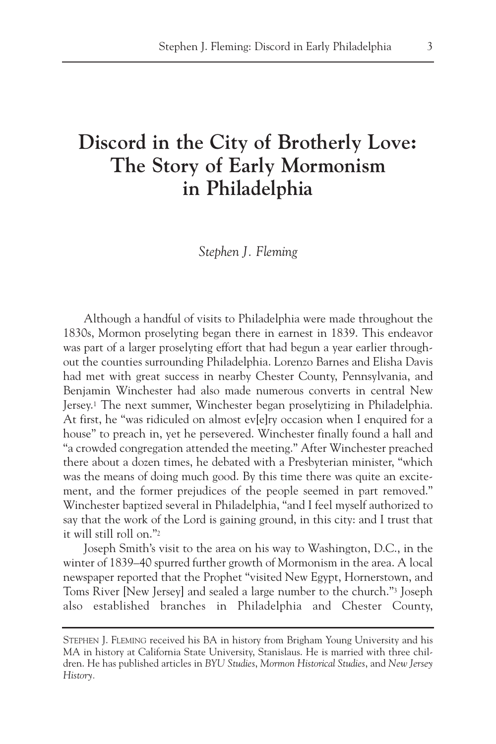# **Discord in the City of Brotherly Love: The Story of Early Mormonism in Philadelphia**

*Stephen J. Fleming*

Although a handful of visits to Philadelphia were made throughout the 1830s, Mormon proselyting began there in earnest in 1839. This endeavor was part of a larger proselyting effort that had begun a year earlier throughout the counties surrounding Philadelphia. Lorenzo Barnes and Elisha Davis had met with great success in nearby Chester County, Pennsylvania, and Benjamin Winchester had also made numerous converts in central New Jersey.1 The next summer, Winchester began proselytizing in Philadelphia. At first, he "was ridiculed on almost ev[e]ry occasion when I enquired for a house" to preach in, yet he persevered. Winchester finally found a hall and "a crowded congregation attended the meeting." After Winchester preached there about a dozen times, he debated with a Presbyterian minister, "which was the means of doing much good. By this time there was quite an excitement, and the former prejudices of the people seemed in part removed." Winchester baptized several in Philadelphia, "and I feel myself authorized to say that the work of the Lord is gaining ground, in this city: and I trust that it will still roll on."2

Joseph Smith's visit to the area on his way to Washington, D.C., in the winter of 1839–40 spurred further growth of Mormonism in the area. A local newspaper reported that the Prophet "visited New Egypt, Hornerstown, and Toms River [New Jersey] and sealed a large number to the church."3 Joseph also established branches in Philadelphia and Chester County,

STEPHEN J. FLEMING received his BA in history from Brigham Young University and his MA in history at California State University, Stanislaus. He is married with three children. He has published articles in *BYU Studies*, *Mormon Historical Studies*, and *New Jersey History.*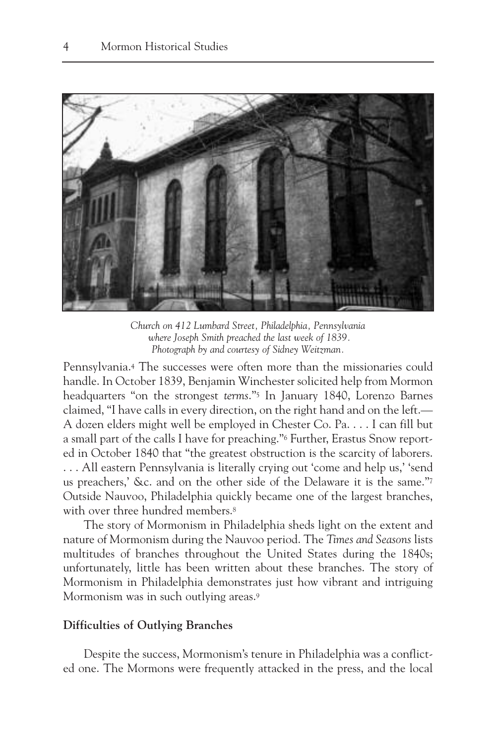

*Church on 412 Lumbard Street, Philadelphia, Pennsylvania where Joseph Smith preached the last week of 1839. Photograph by and courtesy of Sidney Weitzman.*

Pennsylvania.4 The successes were often more than the missionaries could handle. In October 1839, Benjamin Winchester solicited help from Mormon headquarters "on the strongest *terms*."5 In January 1840, Lorenzo Barnes claimed, "I have calls in every direction, on the right hand and on the left.— A dozen elders might well be employed in Chester Co. Pa. . . . I can fill but a small part of the calls I have for preaching."6 Further, Erastus Snow reported in October 1840 that "the greatest obstruction is the scarcity of laborers. . . . All eastern Pennsylvania is literally crying out 'come and help us,' 'send us preachers,' &c. and on the other side of the Delaware it is the same."7 Outside Nauvoo, Philadelphia quickly became one of the largest branches, with over three hundred members.<sup>8</sup>

The story of Mormonism in Philadelphia sheds light on the extent and nature of Mormonism during the Nauvoo period. The *Times and Seasons* lists multitudes of branches throughout the United States during the 1840s; unfortunately, little has been written about these branches. The story of Mormonism in Philadelphia demonstrates just how vibrant and intriguing Mormonism was in such outlying areas.9

#### **Difficulties of Outlying Branches**

Despite the success, Mormonism's tenure in Philadelphia was a conflicted one. The Mormons were frequently attacked in the press, and the local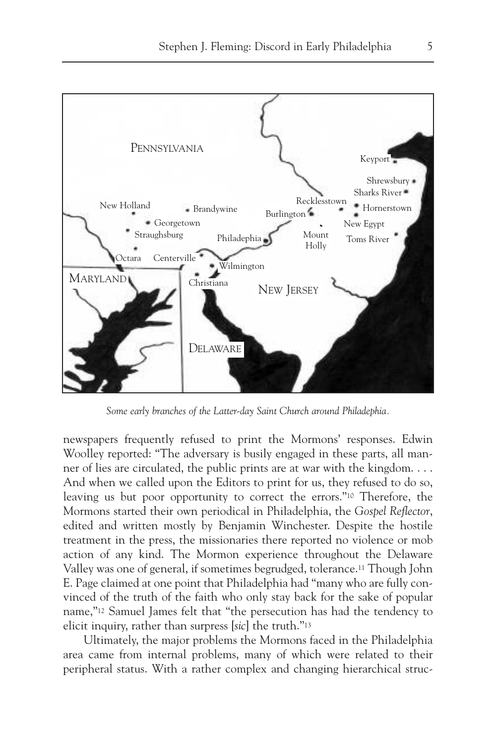

*Some early branches of the Latter-day Saint Church around Philadephia.*

newspapers frequently refused to print the Mormons' responses. Edwin Woolley reported: "The adversary is busily engaged in these parts, all manner of lies are circulated, the public prints are at war with the kingdom. . . . And when we called upon the Editors to print for us, they refused to do so, leaving us but poor opportunity to correct the errors."10 Therefore, the Mormons started their own periodical in Philadelphia, the *Gospel Reflector*, edited and written mostly by Benjamin Winchester. Despite the hostile treatment in the press, the missionaries there reported no violence or mob action of any kind. The Mormon experience throughout the Delaware Valley was one of general, if sometimes begrudged, tolerance.11 Though John E. Page claimed at one point that Philadelphia had "many who are fully convinced of the truth of the faith who only stay back for the sake of popular name,"12 Samuel James felt that "the persecution has had the tendency to elicit inquiry, rather than surpress [*sic*] the truth."13

Ultimately, the major problems the Mormons faced in the Philadelphia area came from internal problems, many of which were related to their peripheral status. With a rather complex and changing hierarchical struc-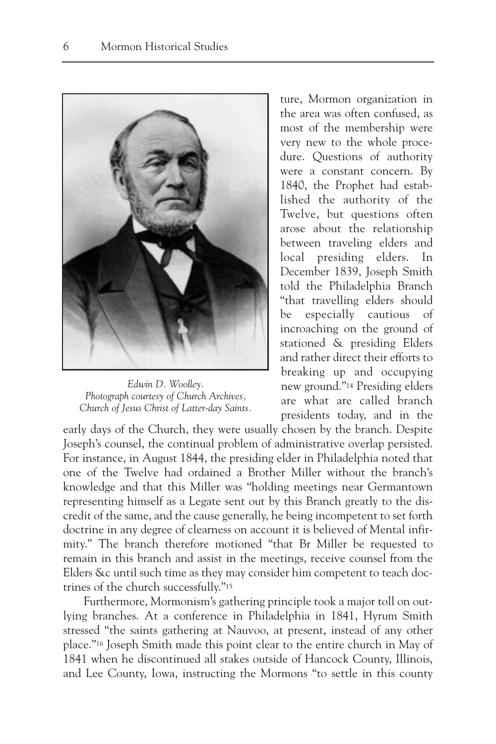

*Edwin D. Woolley. Photograph courtesy of Church Archives, Church of Jesus Christ of Latter-day Saints.*

ture, Mormon organization in the area was often confused, as most of the membership were very new to the whole procedure. Questions of authority were a constant concern. By 1840, the Prophet had established the authority of the Twelve, but questions often arose about the relationship between traveling elders and local presiding elders. In December 1839, Joseph Smith told the Philadelphia Branch "that travelling elders should be especially cautious of incroaching on the ground of stationed & presiding Elders and rather direct their efforts to breaking up and occupying new ground."14 Presiding elders are what are called branch presidents today, and in the

early days of the Church, they were usually chosen by the branch. Despite Joseph's counsel, the continual problem of administrative overlap persisted. For instance, in August 1844, the presiding elder in Philadelphia noted that one of the Twelve had ordained a Brother Miller without the branch's knowledge and that this Miller was "holding meetings near Germantown representing himself as a Legate sent out by this Branch greatly to the discredit of the same, and the cause generally, he being incompetent to set forth doctrine in any degree of clearness on account it is believed of Mental infirmity." The branch therefore motioned "that Br Miller be requested to remain in this branch and assist in the meetings, receive counsel from the Elders &c until such time as they may consider him competent to teach doctrines of the church successfully."15

Furthermore, Mormonism's gathering principle took a major toll on outlying branches. At a conference in Philadelphia in 1841, Hyrum Smith stressed "the saints gathering at Nauvoo, at present, instead of any other place."16 Joseph Smith made this point clear to the entire church in May of 1841 when he discontinued all stakes outside of Hancock County, Illinois, and Lee County, Iowa, instructing the Mormons "to settle in this county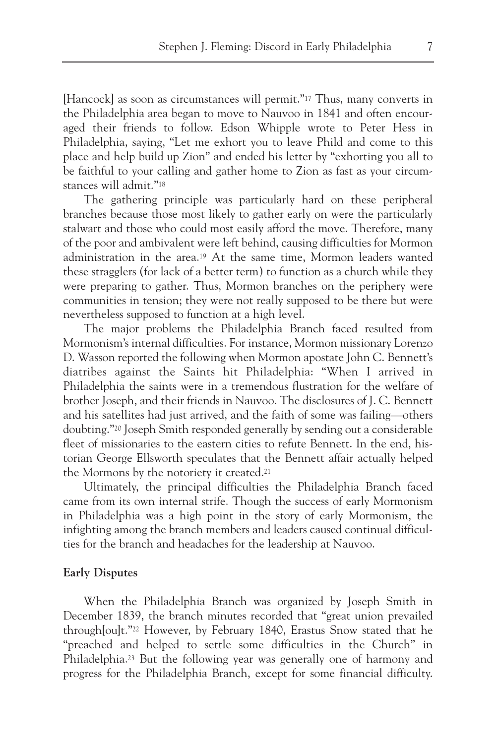[Hancock] as soon as circumstances will permit."<sup>17</sup> Thus, many converts in the Philadelphia area began to move to Nauvoo in 1841 and often encouraged their friends to follow. Edson Whipple wrote to Peter Hess in Philadelphia, saying, "Let me exhort you to leave Phild and come to this place and help build up Zion" and ended his letter by "exhorting you all to be faithful to your calling and gather home to Zion as fast as your circumstances will admit."18

The gathering principle was particularly hard on these peripheral branches because those most likely to gather early on were the particularly stalwart and those who could most easily afford the move. Therefore, many of the poor and ambivalent were left behind, causing difficulties for Mormon administration in the area.19 At the same time, Mormon leaders wanted these stragglers (for lack of a better term) to function as a church while they were preparing to gather. Thus, Mormon branches on the periphery were communities in tension; they were not really supposed to be there but were nevertheless supposed to function at a high level.

The major problems the Philadelphia Branch faced resulted from Mormonism's internal difficulties. For instance, Mormon missionary Lorenzo D. Wasson reported the following when Mormon apostate John C. Bennett's diatribes against the Saints hit Philadelphia: "When I arrived in Philadelphia the saints were in a tremendous flustration for the welfare of brother Joseph, and their friends in Nauvoo. The disclosures of J. C. Bennett and his satellites had just arrived, and the faith of some was failing—others doubting."20 Joseph Smith responded generally by sending out a considerable fleet of missionaries to the eastern cities to refute Bennett. In the end, historian George Ellsworth speculates that the Bennett affair actually helped the Mormons by the notoriety it created.21

Ultimately, the principal difficulties the Philadelphia Branch faced came from its own internal strife. Though the success of early Mormonism in Philadelphia was a high point in the story of early Mormonism, the infighting among the branch members and leaders caused continual difficulties for the branch and headaches for the leadership at Nauvoo.

#### **Early Disputes**

When the Philadelphia Branch was organized by Joseph Smith in December 1839, the branch minutes recorded that "great union prevailed through[ou]t."22 However, by February 1840, Erastus Snow stated that he "preached and helped to settle some difficulties in the Church" in Philadelphia.23 But the following year was generally one of harmony and progress for the Philadelphia Branch, except for some financial difficulty.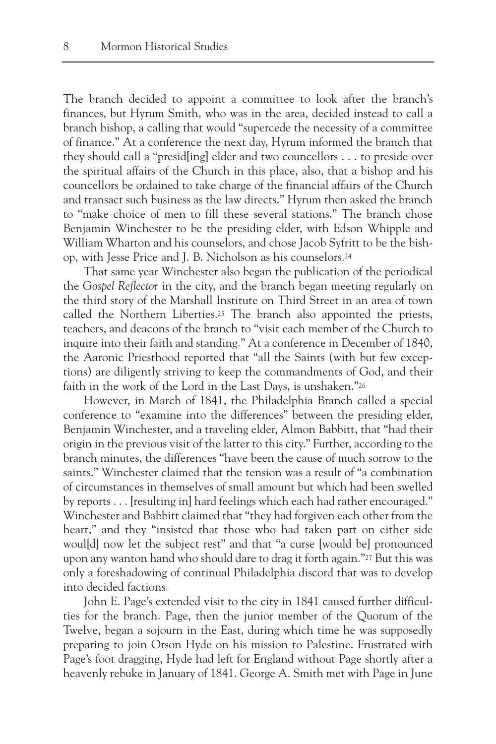The branch decided to appoint a committee to look after the branch's finances, but Hyrum Smith, who was in the area, decided instead to call a branch bishop, a calling that would "supercede the necessity of a committee of finance." At a conference the next day, Hyrum informed the branch that they should call a "presid[ing] elder and two councellors . . . to preside over the spiritual affairs of the Church in this place, also, that a bishop and his councellors be ordained to take charge of the financial affairs of the Church and transact such business as the law directs." Hyrum then asked the branch to "make choice of men to fill these several stations." The branch chose Benjamin Winchester to be the presiding elder, with Edson Whipple and William Wharton and his counselors, and chose Jacob Syfritt to be the bishop, with Jesse Price and J. B. Nicholson as his counselors.24

That same year Winchester also began the publication of the periodical the *Gospel Reflector* in the city, and the branch began meeting regularly on the third story of the Marshall Institute on Third Street in an area of town called the Northern Liberties.25 The branch also appointed the priests, teachers, and deacons of the branch to "visit each member of the Church to inquire into their faith and standing." At a conference in December of 1840, the Aaronic Priesthood reported that "all the Saints (with but few exceptions) are diligently striving to keep the commandments of God, and their faith in the work of the Lord in the Last Days, is unshaken."26

However, in March of 1841, the Philadelphia Branch called a special conference to "examine into the differences" between the presiding elder, Benjamin Winchester, and a traveling elder, Almon Babbitt, that "had their origin in the previous visit of the latter to this city." Further, according to the branch minutes, the differences "have been the cause of much sorrow to the saints." Winchester claimed that the tension was a result of "a combination of circumstances in themselves of small amount but which had been swelled by reports . . . [resulting in] hard feelings which each had rather encouraged." Winchester and Babbitt claimed that "they had forgiven each other from the heart," and they "insisted that those who had taken part on either side woul[d] now let the subject rest" and that "a curse [would be] pronounced upon any wanton hand who should dare to drag it forth again."27 But this was only a foreshadowing of continual Philadelphia discord that was to develop into decided factions.

John E. Page's extended visit to the city in 1841 caused further difficulties for the branch. Page, then the junior member of the Quorum of the Twelve, began a sojourn in the East, during which time he was supposedly preparing to join Orson Hyde on his mission to Palestine. Frustrated with Page's foot dragging, Hyde had left for England without Page shortly after a heavenly rebuke in January of 1841. George A. Smith met with Page in June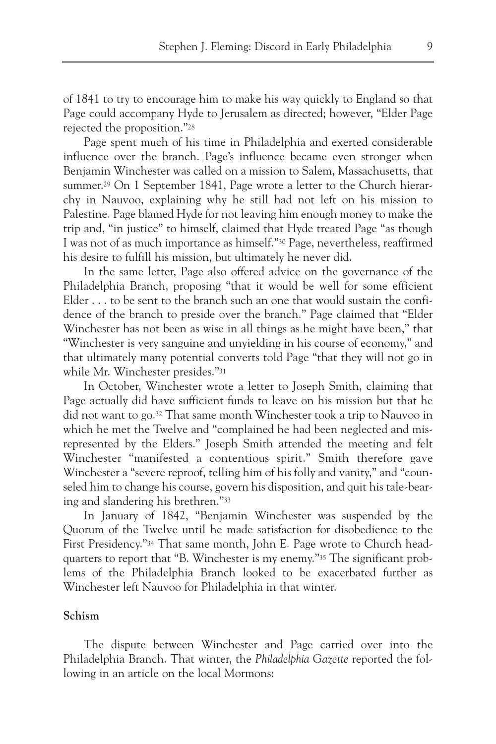of 1841 to try to encourage him to make his way quickly to England so that Page could accompany Hyde to Jerusalem as directed; however, "Elder Page rejected the proposition."28

Page spent much of his time in Philadelphia and exerted considerable influence over the branch. Page's influence became even stronger when Benjamin Winchester was called on a mission to Salem, Massachusetts, that summer.<sup>29</sup> On 1 September 1841, Page wrote a letter to the Church hierarchy in Nauvoo, explaining why he still had not left on his mission to Palestine. Page blamed Hyde for not leaving him enough money to make the trip and, "in justice" to himself, claimed that Hyde treated Page "as though I was not of as much importance as himself."30 Page, nevertheless, reaffirmed his desire to fulfill his mission, but ultimately he never did.

In the same letter, Page also offered advice on the governance of the Philadelphia Branch, proposing "that it would be well for some efficient Elder  $\dots$  to be sent to the branch such an one that would sustain the confidence of the branch to preside over the branch." Page claimed that "Elder Winchester has not been as wise in all things as he might have been," that "Winchester is very sanguine and unyielding in his course of economy," and that ultimately many potential converts told Page "that they will not go in while Mr. Winchester presides."31

In October, Winchester wrote a letter to Joseph Smith, claiming that Page actually did have sufficient funds to leave on his mission but that he did not want to go.32 That same month Winchester took a trip to Nauvoo in which he met the Twelve and "complained he had been neglected and misrepresented by the Elders." Joseph Smith attended the meeting and felt Winchester "manifested a contentious spirit." Smith therefore gave Winchester a "severe reproof, telling him of his folly and vanity," and "counseled him to change his course, govern his disposition, and quit his tale-bearing and slandering his brethren."33

In January of 1842, "Benjamin Winchester was suspended by the Quorum of the Twelve until he made satisfaction for disobedience to the First Presidency."34 That same month, John E. Page wrote to Church headquarters to report that "B. Winchester is my enemy."35 The significant problems of the Philadelphia Branch looked to be exacerbated further as Winchester left Nauvoo for Philadelphia in that winter.

## **Schism**

The dispute between Winchester and Page carried over into the Philadelphia Branch. That winter, the *Philadelphia Gazette* reported the following in an article on the local Mormons: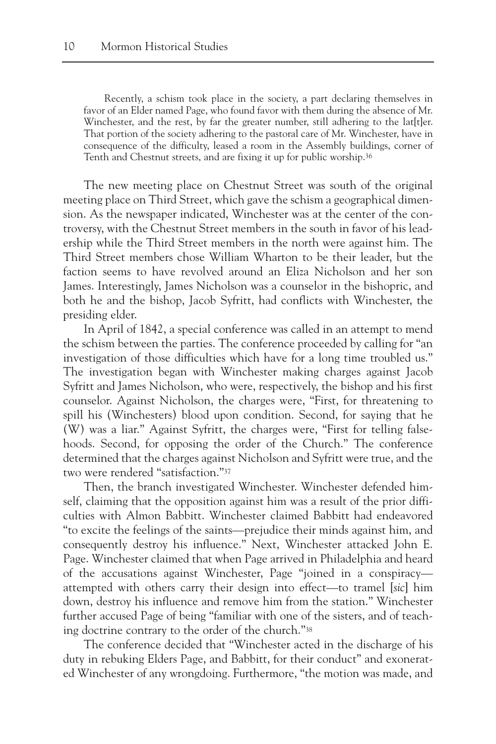Recently, a schism took place in the society, a part declaring themselves in favor of an Elder named Page, who found favor with them during the absence of Mr. Winchester, and the rest, by far the greater number, still adhering to the lat[t]er. That portion of the society adhering to the pastoral care of Mr. Winchester, have in consequence of the difficulty, leased a room in the Assembly buildings, corner of Tenth and Chestnut streets, and are fixing it up for public worship.36

The new meeting place on Chestnut Street was south of the original meeting place on Third Street, which gave the schism a geographical dimension. As the newspaper indicated, Winchester was at the center of the controversy, with the Chestnut Street members in the south in favor of his leadership while the Third Street members in the north were against him. The Third Street members chose William Wharton to be their leader, but the faction seems to have revolved around an Eliza Nicholson and her son James. Interestingly, James Nicholson was a counselor in the bishopric, and both he and the bishop, Jacob Syfritt, had conflicts with Winchester, the presiding elder.

In April of 1842, a special conference was called in an attempt to mend the schism between the parties. The conference proceeded by calling for "an investigation of those difficulties which have for a long time troubled us." The investigation began with Winchester making charges against Jacob Syfritt and James Nicholson, who were, respectively, the bishop and his first counselor. Against Nicholson, the charges were, "First, for threatening to spill his (Winchesters) blood upon condition. Second, for saying that he (W) was a liar." Against Syfritt, the charges were, "First for telling falsehoods. Second, for opposing the order of the Church." The conference determined that the charges against Nicholson and Syfritt were true, and the two were rendered "satisfaction."37

Then, the branch investigated Winchester. Winchester defended himself, claiming that the opposition against him was a result of the prior difficulties with Almon Babbitt. Winchester claimed Babbitt had endeavored "to excite the feelings of the saints—prejudice their minds against him, and consequently destroy his influence." Next, Winchester attacked John E. Page. Winchester claimed that when Page arrived in Philadelphia and heard of the accusations against Winchester, Page "joined in a conspiracy attempted with others carry their design into effect—to tramel [*sic*] him down, destroy his influence and remove him from the station." Winchester further accused Page of being "familiar with one of the sisters, and of teaching doctrine contrary to the order of the church."38

The conference decided that "Winchester acted in the discharge of his duty in rebuking Elders Page, and Babbitt, for their conduct" and exonerated Winchester of any wrongdoing. Furthermore, "the motion was made, and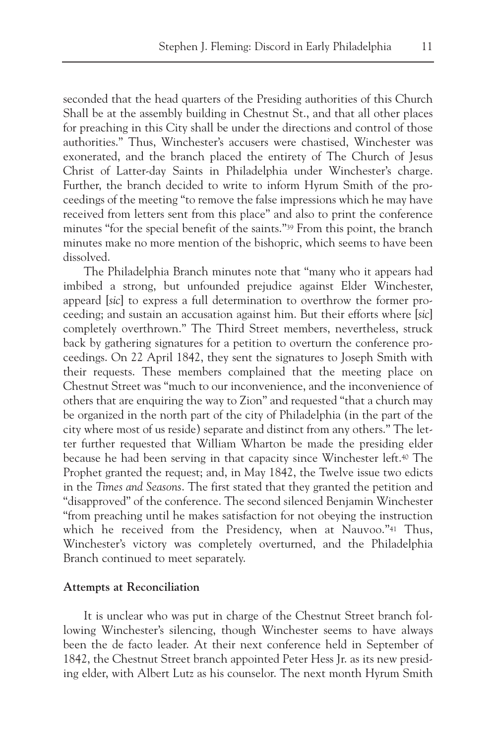seconded that the head quarters of the Presiding authorities of this Church Shall be at the assembly building in Chestnut St., and that all other places for preaching in this City shall be under the directions and control of those authorities." Thus, Winchester's accusers were chastised, Winchester was exonerated, and the branch placed the entirety of The Church of Jesus Christ of Latter-day Saints in Philadelphia under Winchester's charge. Further, the branch decided to write to inform Hyrum Smith of the proceedings of the meeting "to remove the false impressions which he may have received from letters sent from this place" and also to print the conference minutes "for the special benefit of the saints."39 From this point, the branch minutes make no more mention of the bishopric, which seems to have been dissolved.

The Philadelphia Branch minutes note that "many who it appears had imbibed a strong, but unfounded prejudice against Elder Winchester, appeard [*sic*] to express a full determination to overthrow the former proceeding; and sustain an accusation against him. But their efforts where [*sic*] completely overthrown." The Third Street members, nevertheless, struck back by gathering signatures for a petition to overturn the conference proceedings. On 22 April 1842, they sent the signatures to Joseph Smith with their requests. These members complained that the meeting place on Chestnut Street was "much to our inconvenience, and the inconvenience of others that are enquiring the way to Zion" and requested "that a church may be organized in the north part of the city of Philadelphia (in the part of the city where most of us reside) separate and distinct from any others." The letter further requested that William Wharton be made the presiding elder because he had been serving in that capacity since Winchester left.40 The Prophet granted the request; and, in May 1842, the Twelve issue two edicts in the *Times and Seasons*. The first stated that they granted the petition and "disapproved" of the conference. The second silenced Benjamin Winchester "from preaching until he makes satisfaction for not obeying the instruction which he received from the Presidency, when at Nauvoo."<sup>41</sup> Thus, Winchester's victory was completely overturned, and the Philadelphia Branch continued to meet separately.

#### **Attempts at Reconciliation**

It is unclear who was put in charge of the Chestnut Street branch following Winchester's silencing, though Winchester seems to have always been the de facto leader. At their next conference held in September of 1842, the Chestnut Street branch appointed Peter Hess Jr. as its new presiding elder, with Albert Lutz as his counselor. The next month Hyrum Smith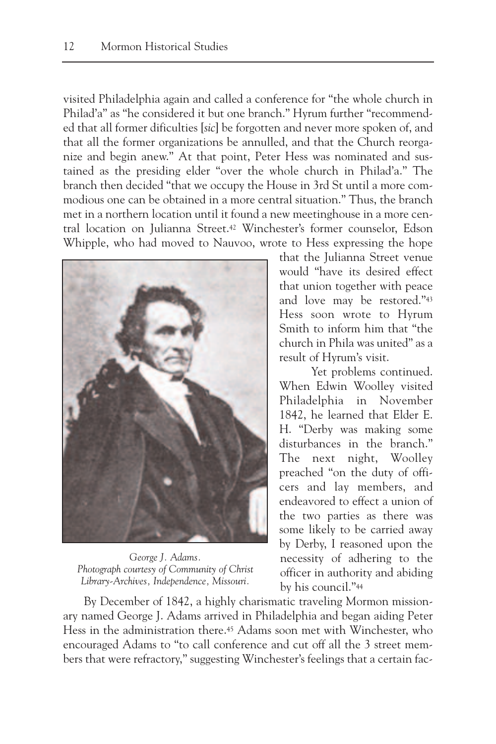visited Philadelphia again and called a conference for "the whole church in Philad'a" as "he considered it but one branch." Hyrum further "recommended that all former dificulties [*sic*] be forgotten and never more spoken of, and that all the former organizations be annulled, and that the Church reorganize and begin anew." At that point, Peter Hess was nominated and sustained as the presiding elder "over the whole church in Philad'a." The branch then decided "that we occupy the House in 3rd St until a more commodious one can be obtained in a more central situation." Thus, the branch met in a northern location until it found a new meetinghouse in a more central location on Julianna Street.42 Winchester's former counselor, Edson Whipple, who had moved to Nauvoo, wrote to Hess expressing the hope



*George J. Adams. Photograph courtesy of Community of Christ Library-Archives, Independence, Missouri.*

that the Julianna Street venue would "have its desired effect that union together with peace and love may be restored."43 Hess soon wrote to Hyrum Smith to inform him that "the church in Phila was united" as a result of Hyrum's visit.

Yet problems continued. When Edwin Woolley visited Philadelphia in November 1842, he learned that Elder E. H. "Derby was making some disturbances in the branch." The next night, Woolley preached "on the duty of officers and lay members, and endeavored to effect a union of the two parties as there was some likely to be carried away by Derby, I reasoned upon the necessity of adhering to the officer in authority and abiding by his council."44

By December of 1842, a highly charismatic traveling Mormon missionary named George J. Adams arrived in Philadelphia and began aiding Peter Hess in the administration there.45 Adams soon met with Winchester, who encouraged Adams to "to call conference and cut off all the 3 street members that were refractory," suggesting Winchester's feelings that a certain fac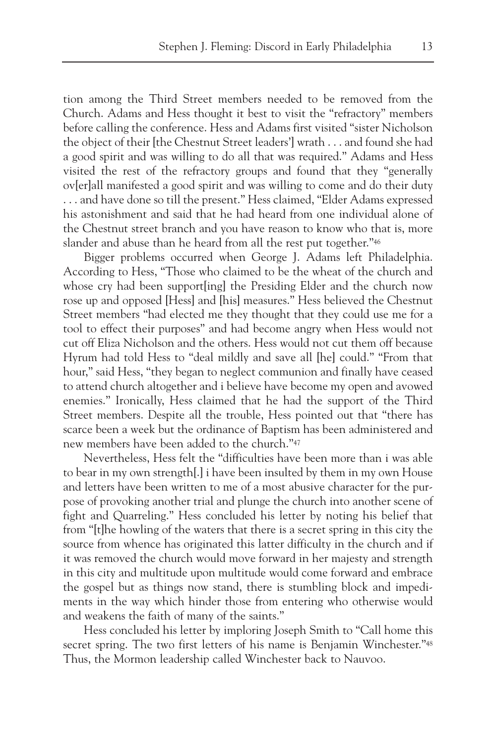tion among the Third Street members needed to be removed from the Church. Adams and Hess thought it best to visit the "refractory" members before calling the conference. Hess and Adams first visited "sister Nicholson the object of their [the Chestnut Street leaders'] wrath . . . and found she had a good spirit and was willing to do all that was required." Adams and Hess visited the rest of the refractory groups and found that they "generally ov[er]all manifested a good spirit and was willing to come and do their duty . . . and have done so till the present." Hess claimed, "Elder Adams expressed his astonishment and said that he had heard from one individual alone of the Chestnut street branch and you have reason to know who that is, more slander and abuse than he heard from all the rest put together."46

Bigger problems occurred when George J. Adams left Philadelphia. According to Hess, "Those who claimed to be the wheat of the church and whose cry had been support [ing] the Presiding Elder and the church now rose up and opposed [Hess] and [his] measures." Hess believed the Chestnut Street members "had elected me they thought that they could use me for a tool to effect their purposes" and had become angry when Hess would not cut off Eliza Nicholson and the others. Hess would not cut them off because Hyrum had told Hess to "deal mildly and save all [he] could." "From that hour," said Hess, "they began to neglect communion and finally have ceased to attend church altogether and i believe have become my open and avowed enemies." Ironically, Hess claimed that he had the support of the Third Street members. Despite all the trouble, Hess pointed out that "there has scarce been a week but the ordinance of Baptism has been administered and new members have been added to the church."47

Nevertheless, Hess felt the "difficulties have been more than i was able to bear in my own strength[.] i have been insulted by them in my own House and letters have been written to me of a most abusive character for the purpose of provoking another trial and plunge the church into another scene of fight and Quarreling." Hess concluded his letter by noting his belief that from "[t]he howling of the waters that there is a secret spring in this city the source from whence has originated this latter difficulty in the church and if it was removed the church would move forward in her majesty and strength in this city and multitude upon multitude would come forward and embrace the gospel but as things now stand, there is stumbling block and impediments in the way which hinder those from entering who otherwise would and weakens the faith of many of the saints."

Hess concluded his letter by imploring Joseph Smith to "Call home this secret spring. The two first letters of his name is Benjamin Winchester."48 Thus, the Mormon leadership called Winchester back to Nauvoo.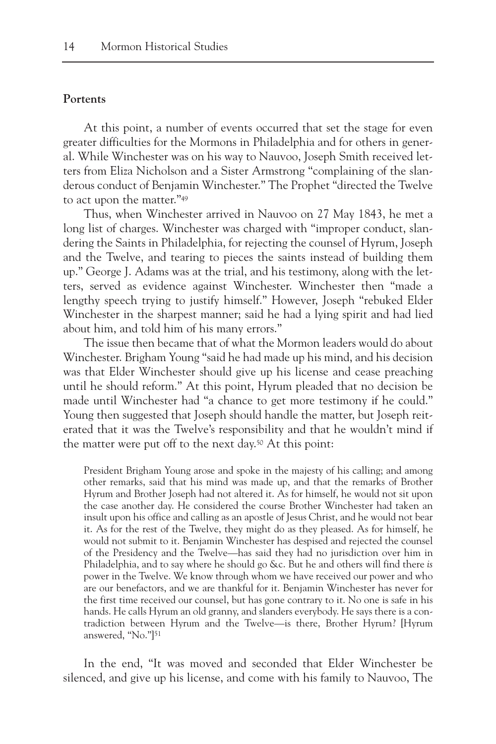#### **Portents**

At this point, a number of events occurred that set the stage for even greater difficulties for the Mormons in Philadelphia and for others in general. While Winchester was on his way to Nauvoo, Joseph Smith received letters from Eliza Nicholson and a Sister Armstrong "complaining of the slanderous conduct of Benjamin Winchester." The Prophet "directed the Twelve to act upon the matter."49

Thus, when Winchester arrived in Nauvoo on 27 May 1843, he met a long list of charges. Winchester was charged with "improper conduct, slandering the Saints in Philadelphia, for rejecting the counsel of Hyrum, Joseph and the Twelve, and tearing to pieces the saints instead of building them up." George J. Adams was at the trial, and his testimony, along with the letters, served as evidence against Winchester. Winchester then "made a lengthy speech trying to justify himself." However, Joseph "rebuked Elder Winchester in the sharpest manner; said he had a lying spirit and had lied about him, and told him of his many errors."

The issue then became that of what the Mormon leaders would do about Winchester. Brigham Young "said he had made up his mind, and his decision was that Elder Winchester should give up his license and cease preaching until he should reform." At this point, Hyrum pleaded that no decision be made until Winchester had "a chance to get more testimony if he could." Young then suggested that Joseph should handle the matter, but Joseph reiterated that it was the Twelve's responsibility and that he wouldn't mind if the matter were put off to the next day.50 At this point:

President Brigham Young arose and spoke in the majesty of his calling; and among other remarks, said that his mind was made up, and that the remarks of Brother Hyrum and Brother Joseph had not altered it. As for himself, he would not sit upon the case another day. He considered the course Brother Winchester had taken an insult upon his office and calling as an apostle of Jesus Christ, and he would not bear it. As for the rest of the Twelve, they might do as they pleased. As for himself, he would not submit to it. Benjamin Winchester has despised and rejected the counsel of the Presidency and the Twelve—has said they had no jurisdiction over him in Philadelphia, and to say where he should go &c. But he and others will find there *is* power in the Twelve. We know through whom we have received our power and who are our benefactors, and we are thankful for it. Benjamin Winchester has never for the first time received our counsel, but has gone contrary to it. No one is safe in his hands. He calls Hyrum an old granny, and slanders everybody. He says there is a contradiction between Hyrum and the Twelve—is there, Brother Hyrum? [Hyrum answered, "No."]<sup>51</sup>

In the end, "It was moved and seconded that Elder Winchester be silenced, and give up his license, and come with his family to Nauvoo, The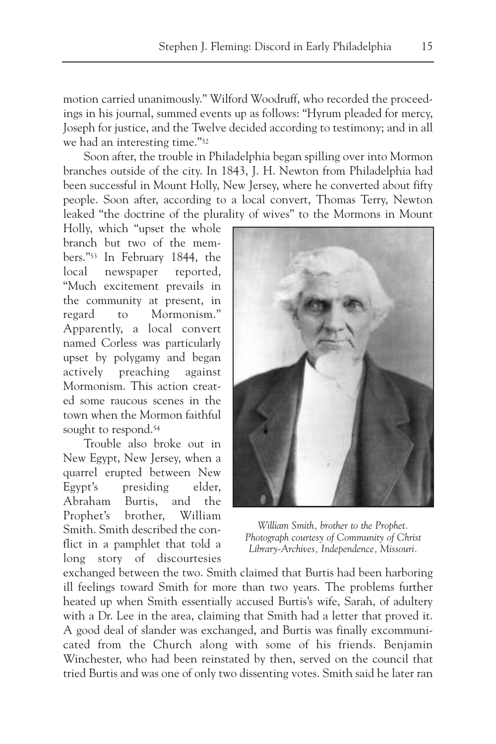motion carried unanimously." Wilford Woodruff, who recorded the proceedings in his journal, summed events up as follows: "Hyrum pleaded for mercy, Joseph for justice, and the Twelve decided according to testimony; and in all we had an interesting time."52

Soon after, the trouble in Philadelphia began spilling over into Mormon branches outside of the city. In 1843, J. H. Newton from Philadelphia had been successful in Mount Holly, New Jersey, where he converted about fifty people. Soon after, according to a local convert, Thomas Terry, Newton leaked "the doctrine of the plurality of wives" to the Mormons in Mount

Holly, which "upset the whole branch but two of the members."53 In February 1844, the local newspaper reported, "Much excitement prevails in the community at present, in regard to Mormonism." Apparently, a local convert named Corless was particularly upset by polygamy and began actively preaching against Mormonism. This action created some raucous scenes in the town when the Mormon faithful sought to respond.<sup>54</sup>

Trouble also broke out in New Egypt, New Jersey, when a quarrel erupted between New Egypt's presiding elder, Abraham Burtis, and the Prophet's brother, William Smith. Smith described the conflict in a pamphlet that told a long story of discourtesies



*William Smith, brother to the Prophet. Photograph courtesy of Community of Christ Library-Archives, Independence, Missouri.*

exchanged between the two. Smith claimed that Burtis had been harboring ill feelings toward Smith for more than two years. The problems further heated up when Smith essentially accused Burtis's wife, Sarah, of adultery with a Dr. Lee in the area, claiming that Smith had a letter that proved it. A good deal of slander was exchanged, and Burtis was finally excommunicated from the Church along with some of his friends. Benjamin Winchester, who had been reinstated by then, served on the council that tried Burtis and was one of only two dissenting votes. Smith said he later ran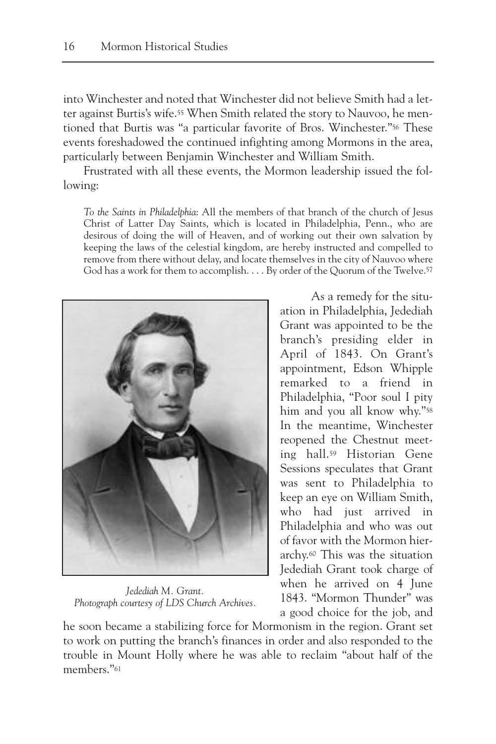into Winchester and noted that Winchester did not believe Smith had a letter against Burtis's wife.55 When Smith related the story to Nauvoo, he mentioned that Burtis was "a particular favorite of Bros. Winchester."56 These events foreshadowed the continued infighting among Mormons in the area, particularly between Benjamin Winchester and William Smith.

Frustrated with all these events, the Mormon leadership issued the following:

*To the Saints in Philadelphia*: All the members of that branch of the church of Jesus Christ of Latter Day Saints, which is located in Philadelphia, Penn., who are desirous of doing the will of Heaven, and of working out their own salvation by keeping the laws of the celestial kingdom, are hereby instructed and compelled to remove from there without delay, and locate themselves in the city of Nauvoo where God has a work for them to accomplish. . . . By order of the Quorum of the Twelve.57



*Jedediah M. Grant. Photograph courtesy of LDS Church Archives.*

As a remedy for the situation in Philadelphia, Jedediah Grant was appointed to be the branch's presiding elder in April of 1843. On Grant's appointment, Edson Whipple remarked to a friend in Philadelphia, "Poor soul I pity him and you all know why."58 In the meantime, Winchester reopened the Chestnut meeting hall.59 Historian Gene Sessions speculates that Grant was sent to Philadelphia to keep an eye on William Smith, who had just arrived in Philadelphia and who was out of favor with the Mormon hierarchy.60 This was the situation Jedediah Grant took charge of when he arrived on 4 June 1843. "Mormon Thunder" was a good choice for the job, and

he soon became a stabilizing force for Mormonism in the region. Grant set to work on putting the branch's finances in order and also responded to the trouble in Mount Holly where he was able to reclaim "about half of the members."61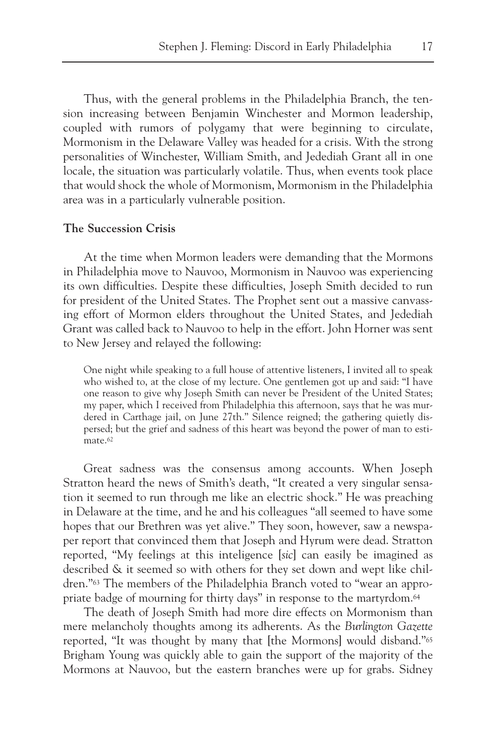Thus, with the general problems in the Philadelphia Branch, the tension increasing between Benjamin Winchester and Mormon leadership, coupled with rumors of polygamy that were beginning to circulate, Mormonism in the Delaware Valley was headed for a crisis. With the strong personalities of Winchester, William Smith, and Jedediah Grant all in one locale, the situation was particularly volatile. Thus, when events took place that would shock the whole of Mormonism, Mormonism in the Philadelphia area was in a particularly vulnerable position.

### **The Succession Crisis**

At the time when Mormon leaders were demanding that the Mormons in Philadelphia move to Nauvoo, Mormonism in Nauvoo was experiencing its own difficulties. Despite these difficulties, Joseph Smith decided to run for president of the United States. The Prophet sent out a massive canvassing effort of Mormon elders throughout the United States, and Jedediah Grant was called back to Nauvoo to help in the effort. John Horner was sent to New Jersey and relayed the following:

One night while speaking to a full house of attentive listeners, I invited all to speak who wished to, at the close of my lecture. One gentlemen got up and said: "I have one reason to give why Joseph Smith can never be President of the United States; my paper, which I received from Philadelphia this afternoon, says that he was murdered in Carthage jail, on June 27th." Silence reigned; the gathering quietly dispersed; but the grief and sadness of this heart was beyond the power of man to estimate.<sup>62</sup>

Great sadness was the consensus among accounts. When Joseph Stratton heard the news of Smith's death, "It created a very singular sensation it seemed to run through me like an electric shock." He was preaching in Delaware at the time, and he and his colleagues "all seemed to have some hopes that our Brethren was yet alive." They soon, however, saw a newspaper report that convinced them that Joseph and Hyrum were dead. Stratton reported, "My feelings at this inteligence [*sic*] can easily be imagined as described & it seemed so with others for they set down and wept like children."63 The members of the Philadelphia Branch voted to "wear an appropriate badge of mourning for thirty days" in response to the martyrdom.64

The death of Joseph Smith had more dire effects on Mormonism than mere melancholy thoughts among its adherents. As the *Burlington Gazette* reported, "It was thought by many that [the Mormons] would disband."65 Brigham Young was quickly able to gain the support of the majority of the Mormons at Nauvoo, but the eastern branches were up for grabs. Sidney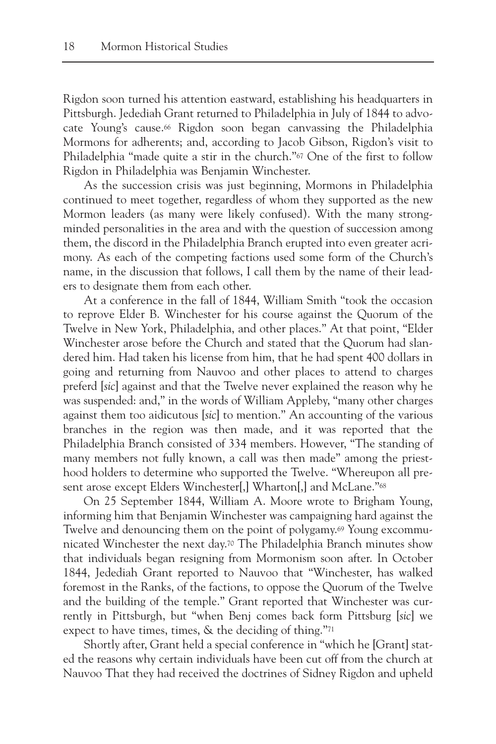Rigdon soon turned his attention eastward, establishing his headquarters in Pittsburgh. Jedediah Grant returned to Philadelphia in July of 1844 to advocate Young's cause.66 Rigdon soon began canvassing the Philadelphia Mormons for adherents; and, according to Jacob Gibson, Rigdon's visit to Philadelphia "made quite a stir in the church."67 One of the first to follow Rigdon in Philadelphia was Benjamin Winchester.

As the succession crisis was just beginning, Mormons in Philadelphia continued to meet together, regardless of whom they supported as the new Mormon leaders (as many were likely confused). With the many strongminded personalities in the area and with the question of succession among them, the discord in the Philadelphia Branch erupted into even greater acrimony. As each of the competing factions used some form of the Church's name, in the discussion that follows, I call them by the name of their leaders to designate them from each other.

At a conference in the fall of 1844, William Smith "took the occasion to reprove Elder B. Winchester for his course against the Quorum of the Twelve in New York, Philadelphia, and other places." At that point, "Elder Winchester arose before the Church and stated that the Quorum had slandered him. Had taken his license from him, that he had spent 400 dollars in going and returning from Nauvoo and other places to attend to charges preferd [*sic*] against and that the Twelve never explained the reason why he was suspended: and," in the words of William Appleby, "many other charges against them too aidicutous [*sic*] to mention." An accounting of the various branches in the region was then made, and it was reported that the Philadelphia Branch consisted of 334 members. However, "The standing of many members not fully known, a call was then made" among the priesthood holders to determine who supported the Twelve. "Whereupon all present arose except Elders Winchester[,] Wharton[,] and McLane."68

On 25 September 1844, William A. Moore wrote to Brigham Young, informing him that Benjamin Winchester was campaigning hard against the Twelve and denouncing them on the point of polygamy.69 Young excommunicated Winchester the next day.70 The Philadelphia Branch minutes show that individuals began resigning from Mormonism soon after. In October 1844, Jedediah Grant reported to Nauvoo that "Winchester, has walked foremost in the Ranks, of the factions, to oppose the Quorum of the Twelve and the building of the temple." Grant reported that Winchester was currently in Pittsburgh, but "when Benj comes back form Pittsburg [*sic*] we expect to have times, times, & the deciding of thing."71

Shortly after, Grant held a special conference in "which he [Grant] stated the reasons why certain individuals have been cut off from the church at Nauvoo That they had received the doctrines of Sidney Rigdon and upheld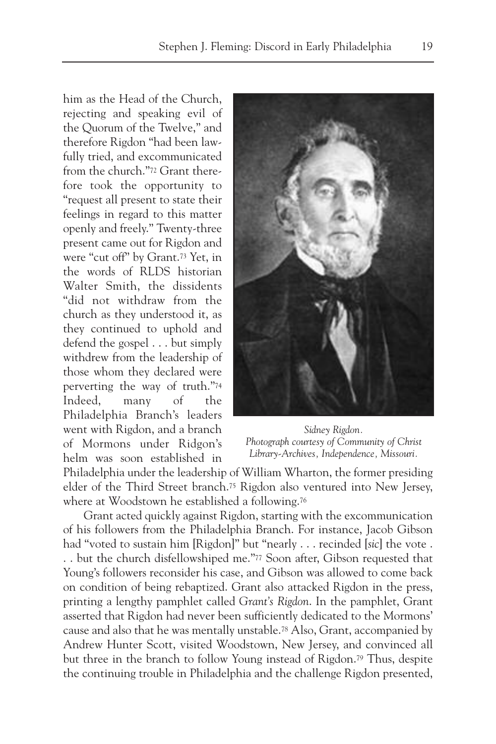him as the Head of the Church, rejecting and speaking evil of the Quorum of the Twelve," and therefore Rigdon "had been lawfully tried, and excommunicated from the church."72 Grant therefore took the opportunity to "request all present to state their feelings in regard to this matter openly and freely." Twenty-three present came out for Rigdon and were "cut off" by Grant.73 Yet, in the words of RLDS historian Walter Smith, the dissidents "did not withdraw from the church as they understood it, as they continued to uphold and defend the gospel . . . but simply withdrew from the leadership of those whom they declared were perverting the way of truth."74 Indeed, many of the Philadelphia Branch's leaders went with Rigdon, and a branch of Mormons under Ridgon's helm was soon established in



*Sidney Rigdon. Photograph courtesy of Community of Christ Library-Archives, Independence, Missouri.*

Philadelphia under the leadership of William Wharton, the former presiding elder of the Third Street branch.75 Rigdon also ventured into New Jersey, where at Woodstown he established a following.<sup>76</sup>

Grant acted quickly against Rigdon, starting with the excommunication of his followers from the Philadelphia Branch. For instance, Jacob Gibson had "voted to sustain him [Rigdon]" but "nearly . . . recinded [*sic*] the vote . . . but the church disfellowshiped me."77 Soon after, Gibson requested that Young's followers reconsider his case, and Gibson was allowed to come back on condition of being rebaptized. Grant also attacked Rigdon in the press, printing a lengthy pamphlet called *Grant's Rigdon*. In the pamphlet, Grant asserted that Rigdon had never been sufficiently dedicated to the Mormons' cause and also that he was mentally unstable.78 Also, Grant, accompanied by Andrew Hunter Scott, visited Woodstown, New Jersey, and convinced all but three in the branch to follow Young instead of Rigdon.79 Thus, despite the continuing trouble in Philadelphia and the challenge Rigdon presented,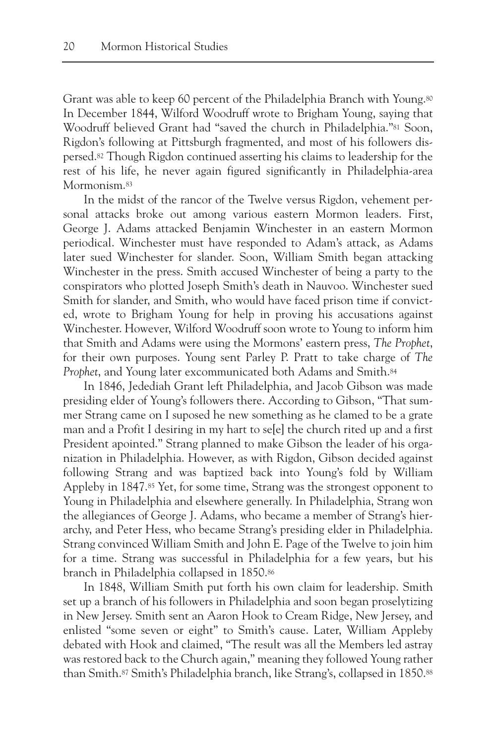Grant was able to keep 60 percent of the Philadelphia Branch with Young.<sup>80</sup> In December 1844, Wilford Woodruff wrote to Brigham Young, saying that Woodruff believed Grant had "saved the church in Philadelphia."<sup>81</sup> Soon, Rigdon's following at Pittsburgh fragmented, and most of his followers dispersed.82 Though Rigdon continued asserting his claims to leadership for the rest of his life, he never again figured significantly in Philadelphia-area Mormonism.<sup>83</sup>

In the midst of the rancor of the Twelve versus Rigdon, vehement personal attacks broke out among various eastern Mormon leaders. First, George J. Adams attacked Benjamin Winchester in an eastern Mormon periodical. Winchester must have responded to Adam's attack, as Adams later sued Winchester for slander. Soon, William Smith began attacking Winchester in the press. Smith accused Winchester of being a party to the conspirators who plotted Joseph Smith's death in Nauvoo. Winchester sued Smith for slander, and Smith, who would have faced prison time if convicted, wrote to Brigham Young for help in proving his accusations against Winchester. However, Wilford Woodruff soon wrote to Young to inform him that Smith and Adams were using the Mormons' eastern press, *The Prophet*, for their own purposes. Young sent Parley P. Pratt to take charge of *The Prophet*, and Young later excommunicated both Adams and Smith.84

In 1846, Jedediah Grant left Philadelphia, and Jacob Gibson was made presiding elder of Young's followers there. According to Gibson, "That summer Strang came on I suposed he new something as he clamed to be a grate man and a Profit I desiring in my hart to se[e] the church rited up and a first President apointed." Strang planned to make Gibson the leader of his organization in Philadelphia. However, as with Rigdon, Gibson decided against following Strang and was baptized back into Young's fold by William Appleby in 1847.85 Yet, for some time, Strang was the strongest opponent to Young in Philadelphia and elsewhere generally. In Philadelphia, Strang won the allegiances of George J. Adams, who became a member of Strang's hierarchy, and Peter Hess, who became Strang's presiding elder in Philadelphia. Strang convinced William Smith and John E. Page of the Twelve to join him for a time. Strang was successful in Philadelphia for a few years, but his branch in Philadelphia collapsed in 1850.86

In 1848, William Smith put forth his own claim for leadership. Smith set up a branch of his followers in Philadelphia and soon began proselytizing in New Jersey. Smith sent an Aaron Hook to Cream Ridge, New Jersey, and enlisted "some seven or eight" to Smith's cause. Later, William Appleby debated with Hook and claimed, "The result was all the Members led astray was restored back to the Church again," meaning they followed Young rather than Smith.87 Smith's Philadelphia branch, like Strang's, collapsed in 1850.88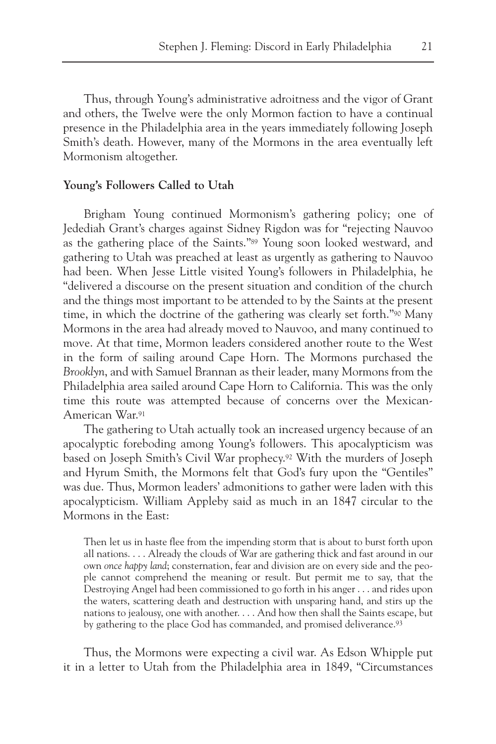Thus, through Young's administrative adroitness and the vigor of Grant and others, the Twelve were the only Mormon faction to have a continual presence in the Philadelphia area in the years immediately following Joseph Smith's death. However, many of the Mormons in the area eventually left Mormonism altogether.

#### **Young's Followers Called to Utah**

Brigham Young continued Mormonism's gathering policy; one of Jedediah Grant's charges against Sidney Rigdon was for "rejecting Nauvoo as the gathering place of the Saints."89 Young soon looked westward, and gathering to Utah was preached at least as urgently as gathering to Nauvoo had been. When Jesse Little visited Young's followers in Philadelphia, he "delivered a discourse on the present situation and condition of the church and the things most important to be attended to by the Saints at the present time, in which the doctrine of the gathering was clearly set forth."90 Many Mormons in the area had already moved to Nauvoo, and many continued to move. At that time, Mormon leaders considered another route to the West in the form of sailing around Cape Horn. The Mormons purchased the *Brooklyn*, and with Samuel Brannan as their leader, many Mormons from the Philadelphia area sailed around Cape Horn to California. This was the only time this route was attempted because of concerns over the Mexican-American War.91

The gathering to Utah actually took an increased urgency because of an apocalyptic foreboding among Young's followers. This apocalypticism was based on Joseph Smith's Civil War prophecy.92 With the murders of Joseph and Hyrum Smith, the Mormons felt that God's fury upon the "Gentiles" was due. Thus, Mormon leaders' admonitions to gather were laden with this apocalypticism. William Appleby said as much in an 1847 circular to the Mormons in the East:

Then let us in haste flee from the impending storm that is about to burst forth upon all nations. . . . Already the clouds of War are gathering thick and fast around in our own *once happy land*; consternation, fear and division are on every side and the people cannot comprehend the meaning or result. But permit me to say, that the Destroying Angel had been commissioned to go forth in his anger . . . and rides upon the waters, scattering death and destruction with unsparing hand, and stirs up the nations to jealousy, one with another. . . . And how then shall the Saints escape, but by gathering to the place God has commanded, and promised deliverance.<sup>93</sup>

Thus, the Mormons were expecting a civil war. As Edson Whipple put it in a letter to Utah from the Philadelphia area in 1849, "Circumstances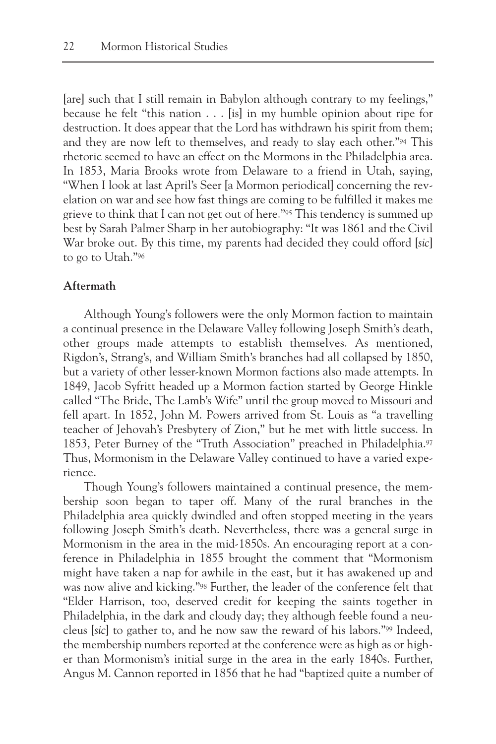[are] such that I still remain in Babylon although contrary to my feelings," because he felt "this nation  $\ldots$  [is] in my humble opinion about ripe for destruction. It does appear that the Lord has withdrawn his spirit from them; and they are now left to themselves, and ready to slay each other."94 This rhetoric seemed to have an effect on the Mormons in the Philadelphia area. In 1853, Maria Brooks wrote from Delaware to a friend in Utah, saying, "When I look at last April's Seer [a Mormon periodical] concerning the revelation on war and see how fast things are coming to be fulfilled it makes me grieve to think that I can not get out of here."95 This tendency is summed up best by Sarah Palmer Sharp in her autobiography: "It was 1861 and the Civil War broke out. By this time, my parents had decided they could offord [*sic*] to go to Utah."96

### **Aftermath**

Although Young's followers were the only Mormon faction to maintain a continual presence in the Delaware Valley following Joseph Smith's death, other groups made attempts to establish themselves. As mentioned, Rigdon's, Strang's, and William Smith's branches had all collapsed by 1850, but a variety of other lesser-known Mormon factions also made attempts. In 1849, Jacob Syfritt headed up a Mormon faction started by George Hinkle called "The Bride, The Lamb's Wife" until the group moved to Missouri and fell apart. In 1852, John M. Powers arrived from St. Louis as "a travelling teacher of Jehovah's Presbytery of Zion," but he met with little success. In 1853, Peter Burney of the "Truth Association" preached in Philadelphia.97 Thus, Mormonism in the Delaware Valley continued to have a varied experience.

Though Young's followers maintained a continual presence, the membership soon began to taper off. Many of the rural branches in the Philadelphia area quickly dwindled and often stopped meeting in the years following Joseph Smith's death. Nevertheless, there was a general surge in Mormonism in the area in the mid-1850s. An encouraging report at a conference in Philadelphia in 1855 brought the comment that "Mormonism might have taken a nap for awhile in the east, but it has awakened up and was now alive and kicking."98 Further, the leader of the conference felt that "Elder Harrison, too, deserved credit for keeping the saints together in Philadelphia, in the dark and cloudy day; they although feeble found a neucleus [*sic*] to gather to, and he now saw the reward of his labors."99 Indeed, the membership numbers reported at the conference were as high as or higher than Mormonism's initial surge in the area in the early 1840s. Further, Angus M. Cannon reported in 1856 that he had "baptized quite a number of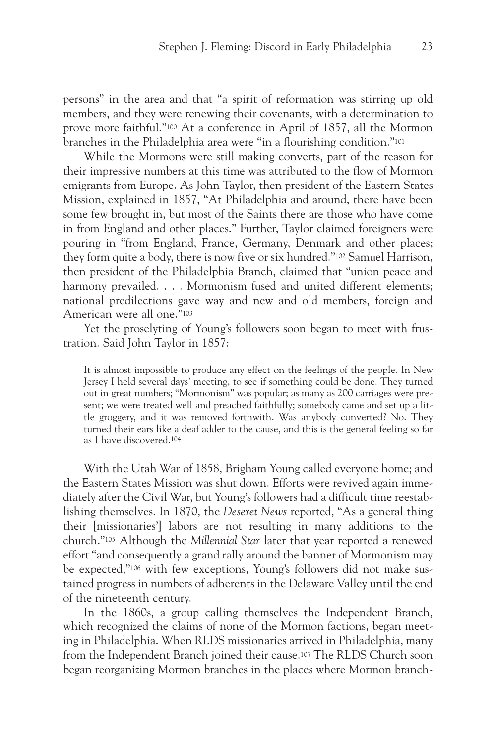persons" in the area and that "a spirit of reformation was stirring up old members, and they were renewing their covenants, with a determination to prove more faithful."100 At a conference in April of 1857, all the Mormon branches in the Philadelphia area were "in a flourishing condition."101

While the Mormons were still making converts, part of the reason for their impressive numbers at this time was attributed to the flow of Mormon emigrants from Europe. As John Taylor, then president of the Eastern States Mission, explained in 1857, "At Philadelphia and around, there have been some few brought in, but most of the Saints there are those who have come in from England and other places." Further, Taylor claimed foreigners were pouring in "from England, France, Germany, Denmark and other places; they form quite a body, there is now five or six hundred."102 Samuel Harrison, then president of the Philadelphia Branch, claimed that "union peace and harmony prevailed. . . . Mormonism fused and united different elements; national predilections gave way and new and old members, foreign and American were all one."103

Yet the proselyting of Young's followers soon began to meet with frustration. Said John Taylor in 1857:

It is almost impossible to produce any effect on the feelings of the people. In New Jersey I held several days' meeting, to see if something could be done. They turned out in great numbers; "Mormonism" was popular; as many as 200 carriages were present; we were treated well and preached faithfully; somebody came and set up a little groggery, and it was removed forthwith. Was anybody converted? No. They turned their ears like a deaf adder to the cause, and this is the general feeling so far as I have discovered.104

With the Utah War of 1858, Brigham Young called everyone home; and the Eastern States Mission was shut down. Efforts were revived again immediately after the Civil War, but Young's followers had a difficult time reestablishing themselves. In 1870, the *Deseret News* reported, "As a general thing their [missionaries'] labors are not resulting in many additions to the church."105 Although the *Millennial Star* later that year reported a renewed effort "and consequently a grand rally around the banner of Mormonism may be expected,"106 with few exceptions, Young's followers did not make sustained progress in numbers of adherents in the Delaware Valley until the end of the nineteenth century.

In the 1860s, a group calling themselves the Independent Branch, which recognized the claims of none of the Mormon factions, began meeting in Philadelphia. When RLDS missionaries arrived in Philadelphia, many from the Independent Branch joined their cause.107 The RLDS Church soon began reorganizing Mormon branches in the places where Mormon branch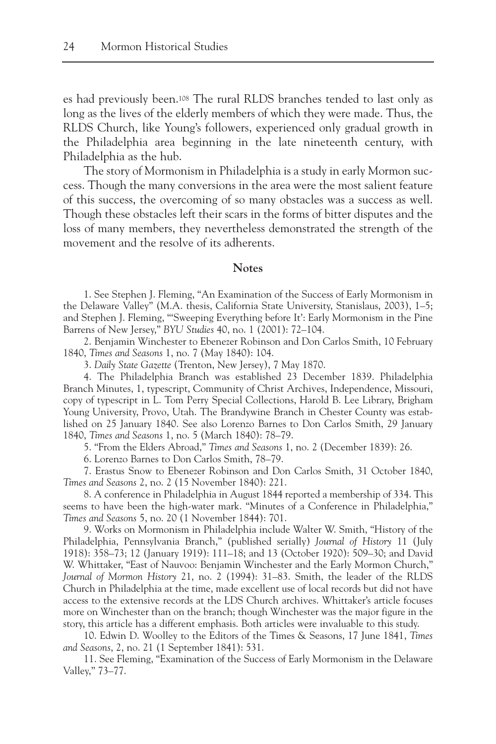es had previously been.108 The rural RLDS branches tended to last only as long as the lives of the elderly members of which they were made. Thus, the RLDS Church, like Young's followers, experienced only gradual growth in the Philadelphia area beginning in the late nineteenth century, with Philadelphia as the hub.

The story of Mormonism in Philadelphia is a study in early Mormon success. Though the many conversions in the area were the most salient feature of this success, the overcoming of so many obstacles was a success as well. Though these obstacles left their scars in the forms of bitter disputes and the loss of many members, they nevertheless demonstrated the strength of the movement and the resolve of its adherents.

#### **Notes**

1. See Stephen J. Fleming, "An Examination of the Success of Early Mormonism in the Delaware Valley" (M.A. thesis, California State University, Stanislaus, 2003), 1–5; and Stephen J. Fleming, "'Sweeping Everything before It': Early Mormonism in the Pine Barrens of New Jersey," *BYU Studies* 40, no. 1 (2001): 72–104.

2. Benjamin Winchester to Ebenezer Robinson and Don Carlos Smith, 10 February 1840, *Times and Seasons* 1, no. 7 (May 1840): 104.

3. *Daily State Gazette* (Trenton, New Jersey), 7 May 1870.

4. The Philadelphia Branch was established 23 December 1839. Philadelphia Branch Minutes, 1, typescript, Community of Christ Archives, Independence, Missouri, copy of typescript in L. Tom Perry Special Collections, Harold B. Lee Library, Brigham Young University, Provo, Utah. The Brandywine Branch in Chester County was established on 25 January 1840. See also Lorenzo Barnes to Don Carlos Smith, 29 January 1840, *Times and Seasons* 1, no. 5 (March 1840): 78–79.

5. "From the Elders Abroad," *Times and Seasons* 1, no. 2 (December 1839): 26.

6. Lorenzo Barnes to Don Carlos Smith, 78–79.

7. Erastus Snow to Ebenezer Robinson and Don Carlos Smith, 31 October 1840, *Times and Seasons* 2, no. 2 (15 November 1840): 221.

8. A conference in Philadelphia in August 1844 reported a membership of 334. This seems to have been the high-water mark. "Minutes of a Conference in Philadelphia," *Times and Seasons* 5, no. 20 (1 November 1844): 701.

9. Works on Mormonism in Philadelphia include Walter W. Smith, "History of the Philadelphia, Pennsylvania Branch," (published serially) *Journal of History* 11 (July 1918): 358–73; 12 (January 1919): 111–18; and 13 (October 1920): 509–30; and David W. Whittaker, "East of Nauvoo: Benjamin Winchester and the Early Mormon Church," *Journal of Mormon History* 21, no. 2 (1994): 31–83. Smith, the leader of the RLDS Church in Philadelphia at the time, made excellent use of local records but did not have access to the extensive records at the LDS Church archives. Whittaker's article focuses more on Winchester than on the branch; though Winchester was the major figure in the story, this article has a different emphasis. Both articles were invaluable to this study.

10. Edwin D. Woolley to the Editors of the Times & Seasons, 17 June 1841, *Times and Seasons*, 2, no. 21 (1 September 1841): 531.

11. See Fleming, "Examination of the Success of Early Mormonism in the Delaware Valley," 73–77.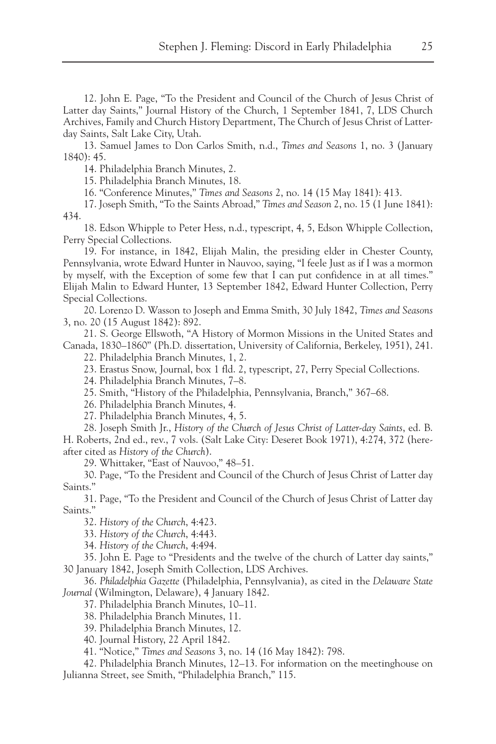12. John E. Page, "To the President and Council of the Church of Jesus Christ of Latter day Saints," Journal History of the Church, 1 September 1841, 7, LDS Church Archives, Family and Church History Department, The Church of Jesus Christ of Latterday Saints, Salt Lake City, Utah.

13. Samuel James to Don Carlos Smith, n.d., *Times and Seasons* 1, no. 3 (January 1840): 45.

14. Philadelphia Branch Minutes, 2.

15. Philadelphia Branch Minutes, 18.

16. "Conference Minutes," *Times and Seasons* 2, no. 14 (15 May 1841): 413.

17. Joseph Smith, "To the Saints Abroad," *Times and Season* 2, no. 15 (1 June 1841): 434.

18. Edson Whipple to Peter Hess, n.d., typescript, 4, 5, Edson Whipple Collection, Perry Special Collections.

19. For instance, in 1842, Elijah Malin, the presiding elder in Chester County, Pennsylvania, wrote Edward Hunter in Nauvoo, saying, "I feele Just as if I was a mormon by myself, with the Exception of some few that I can put confidence in at all times." Elijah Malin to Edward Hunter, 13 September 1842, Edward Hunter Collection, Perry Special Collections.

20. Lorenzo D. Wasson to Joseph and Emma Smith, 30 July 1842, *Times and Seasons* 3, no. 20 (15 August 1842): 892.

21. S. George Ellswoth, "A History of Mormon Missions in the United States and Canada, 1830–1860" (Ph.D. dissertation, University of California, Berkeley, 1951), 241.

22. Philadelphia Branch Minutes, 1, 2.

23. Erastus Snow, Journal, box 1 fld. 2, typescript, 27, Perry Special Collections.

24. Philadelphia Branch Minutes, 7–8.

25. Smith, "History of the Philadelphia, Pennsylvania, Branch," 367–68.

26. Philadelphia Branch Minutes, 4.

27. Philadelphia Branch Minutes, 4, 5.

28. Joseph Smith Jr., *History of the Church of Jesus Christ of Latter-day Saints*, ed. B. H. Roberts, 2nd ed., rev., 7 vols. (Salt Lake City: Deseret Book 1971), 4:274, 372 (hereafter cited as *History of the Church*).

29. Whittaker, "East of Nauvoo," 48–51.

30. Page, "To the President and Council of the Church of Jesus Christ of Latter day Saints."

31. Page, "To the President and Council of the Church of Jesus Christ of Latter day Saints."

32. *History of the Church*, 4:423.

33. *History of the Church*, 4:443.

34. *History of the Church*, 4:494.

35. John E. Page to "Presidents and the twelve of the church of Latter day saints," 30 January 1842, Joseph Smith Collection, LDS Archives.

36. *Philadelphia Gazette* (Philadelphia, Pennsylvania), as cited in the *Delaware State Journal* (Wilmington, Delaware), 4 January 1842.

37. Philadelphia Branch Minutes, 10–11.

38. Philadelphia Branch Minutes, 11.

39. Philadelphia Branch Minutes, 12.

40. Journal History, 22 April 1842.

41. "Notice," *Times and Seasons* 3, no. 14 (16 May 1842): 798.

42. Philadelphia Branch Minutes, 12–13. For information on the meetinghouse on Julianna Street, see Smith, "Philadelphia Branch," 115.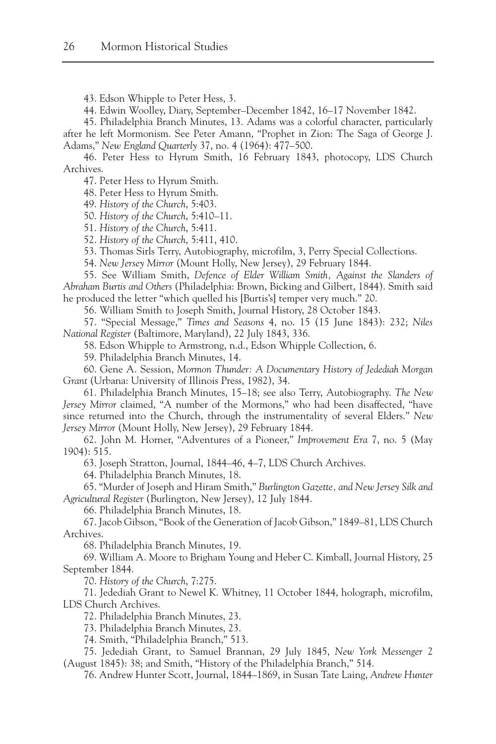43. Edson Whipple to Peter Hess, 3.

44. Edwin Woolley, Diary, September–December 1842, 16–17 November 1842.

45. Philadelphia Branch Minutes, 13. Adams was a colorful character, particularly

after he left Mormonism. See Peter Amann, "Prophet in Zion: The Saga of George J. Adams," *New England Quarterly* 37, no. 4 (1964): 477–500.

46. Peter Hess to Hyrum Smith, 16 February 1843, photocopy, LDS Church Archives.

47. Peter Hess to Hyrum Smith.

48. Peter Hess to Hyrum Smith.

49. *History of the Church*, 5:403.

50. *History of the Church*, 5:410–11.

51. *History of the Church*, 5:411.

52. *History of the Church*, 5:411, 410.

53. Thomas Sirls Terry, Autobiography, microfilm, 3, Perry Special Collections.

54. *New Jersey Mirror* (Mount Holly, New Jersey), 29 February 1844.

55. See William Smith, *Defence of Elder William Smith, Against the Slanders of Abraham Burtis and Others* (Philadelphia: Brown, Bicking and Gilbert, 1844). Smith said he produced the letter "which quelled his [Burtis's] temper very much." 20.

56. William Smith to Joseph Smith, Journal History, 28 October 1843.

57. "Special Message," *Times and Seasons* 4, no. 15 (15 June 1843): 232; *Niles National Register* (Baltimore, Maryland), 22 July 1843, 336.

58. Edson Whipple to Armstrong, n.d., Edson Whipple Collection, 6.

59. Philadelphia Branch Minutes, 14.

60. Gene A. Session, *Mormon Thunder: A Documentary History of Jedediah Morgan Grant* (Urbana: University of Illinois Press, 1982), 34.

61. Philadelphia Branch Minutes, 15–18; see also Terry, Autobiography. *The New Jersey Mirror* claimed, "A number of the Mormons," who had been disaffected, "have since returned into the Church, through the instrumentality of several Elders." *New Jersey Mirror* (Mount Holly, New Jersey), 29 February 1844.

62. John M. Horner, "Adventures of a Pioneer," *Improvement Era* 7, no. 5 (May 1904): 515.

63. Joseph Stratton, Journal, 1844–46, 4–7, LDS Church Archives.

64. Philadelphia Branch Minutes, 18.

65. "Murder of Joseph and Hiram Smith," *Burlington Gazette, and New Jersey Silk and Agricultural Register* (Burlington, New Jersey), 12 July 1844.

66. Philadelphia Branch Minutes, 18.

67. Jacob Gibson, "Book of the Generation of Jacob Gibson," 1849–81, LDS Church Archives.

68. Philadelphia Branch Minutes, 19.

69. William A. Moore to Brigham Young and Heber C. Kimball, Journal History, 25 September 1844.

70. *History of the Church*, 7:275.

71. Jedediah Grant to Newel K. Whitney, 11 October 1844, holograph, microfilm, LDS Church Archives.

72. Philadelphia Branch Minutes, 23.

73. Philadelphia Branch Minutes, 23.

74. Smith, "Philadelphia Branch," 513.

75. Jedediah Grant, to Samuel Brannan, 29 July 1845, *New York Messenger* 2 (August 1845): 38; and Smith, "History of the Philadelphia Branch," 514.

76. Andrew Hunter Scott, Journal, 1844–1869, in Susan Tate Laing, *Andrew Hunter*